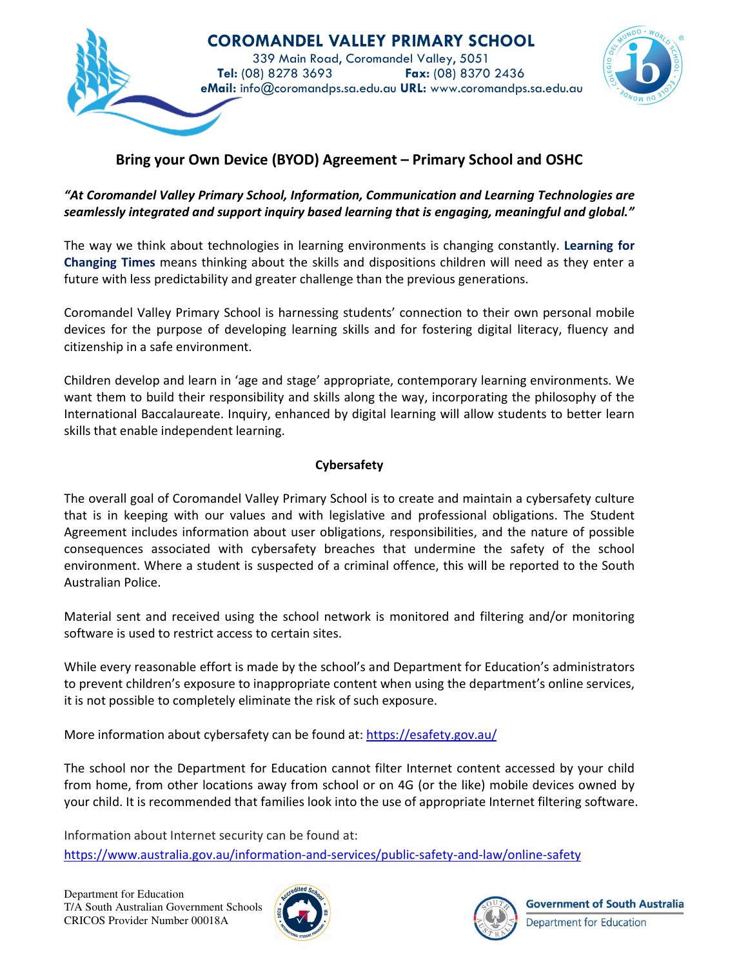

# **Bring your Own Device (BYOD) Agreement – Primary School and OSHC**

#### *"At Coromandel Valley Primary School, Information, Communication and Learning Technologies are seamlessly integrated and support inquiry based learning that is engaging, meaningful and global."*

The way we think about technologies in learning environments is changing constantly. **Learning for Changing Times** means thinking about the skills and dispositions children will need as they enter a future with less predictability and greater challenge than the previous generations.

Coromandel Valley Primary School is harnessing students' connection to their own personal mobile devices for the purpose of developing learning skills and for fostering digital literacy, fluency and citizenship in a safe environment.

Children develop and learn in 'age and stage' appropriate, contemporary learning environments. We want them to build their responsibility and skills along the way, incorporating the philosophy of the International Baccalaureate. Inquiry, enhanced by digital learning will allow students to better learn skills that enable independent learning.

#### **Cybersafety**

The overall goal of Coromandel Valley Primary School is to create and maintain a cybersafety culture that is in keeping with our values and with legislative and professional obligations. The Student Agreement includes information about user obligations, responsibilities, and the nature of possible consequences associated with cybersafety breaches that undermine the safety of the school environment. Where a student is suspected of a criminal offence, this will be reported to the South Australian Police.

Material sent and received using the school network is monitored and filtering and/or monitoring software is used to restrict access to certain sites.

While every reasonable effort is made by the school's and Department for Education's administrators to prevent children's exposure to inappropriate content when using the department's online services, it is not possible to completely eliminate the risk of such exposure.

More information about cybersafety can be found at: https://esafety.gov.au/

The school nor the Department for Education cannot filter Internet content accessed by your child from home, from other locations away from school or on 4G (or the like) mobile devices owned by your child. It is recommended that families look into the use of appropriate Internet filtering software.

Information about Internet security can be found at: https://www.australia.gov.au/information-and-services/public-safety-and-law/online-safety



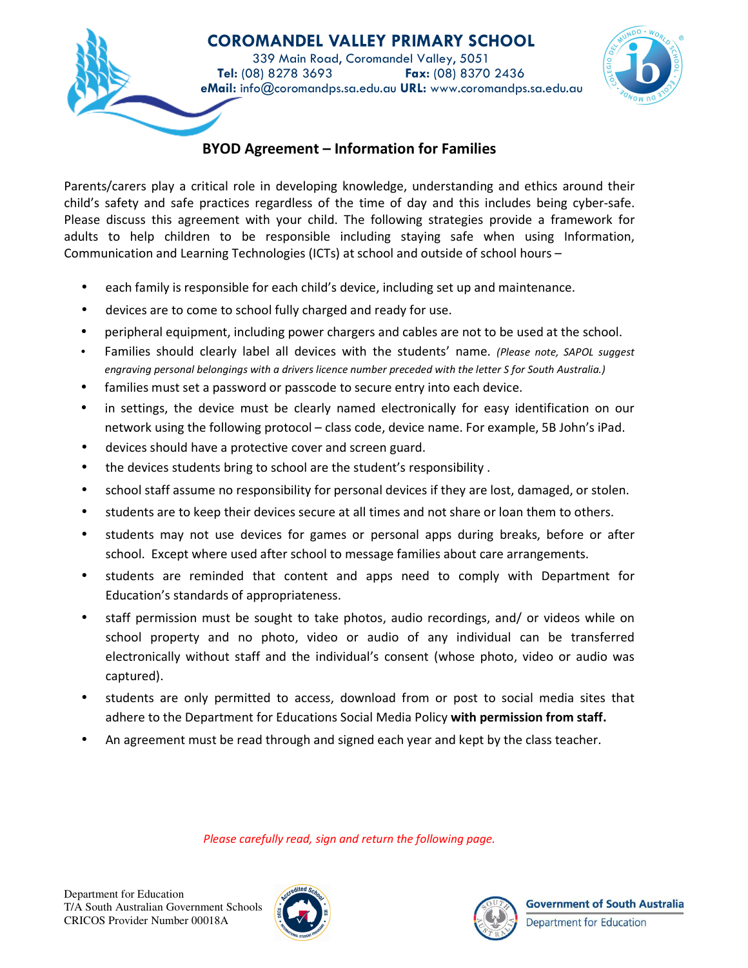

### **BYOD Agreement – Information for Families**

Parents/carers play a critical role in developing knowledge, understanding and ethics around their child's safety and safe practices regardless of the time of day and this includes being cyber-safe. Please discuss this agreement with your child. The following strategies provide a framework for adults to help children to be responsible including staying safe when using Information, Communication and Learning Technologies (ICTs) at school and outside of school hours –

- each family is responsible for each child's device, including set up and maintenance.
- devices are to come to school fully charged and ready for use.
- peripheral equipment, including power chargers and cables are not to be used at the school.
- Families should clearly label all devices with the students' name. *(Please note, SAPOL suggest engraving personal belongings with a drivers licence number preceded with the letter S for South Australia.)*
- families must set a password or passcode to secure entry into each device.
- in settings, the device must be clearly named electronically for easy identification on our network using the following protocol – class code, device name. For example, 5B John's iPad.
- devices should have a protective cover and screen guard.
- the devices students bring to school are the student's responsibility .
- school staff assume no responsibility for personal devices if they are lost, damaged, or stolen.
- students are to keep their devices secure at all times and not share or loan them to others.
- students may not use devices for games or personal apps during breaks, before or after school. Except where used after school to message families about care arrangements.
- students are reminded that content and apps need to comply with Department for Education's standards of appropriateness.
- staff permission must be sought to take photos, audio recordings, and/ or videos while on school property and no photo, video or audio of any individual can be transferred electronically without staff and the individual's consent (whose photo, video or audio was captured).
- students are only permitted to access, download from or post to social media sites that adhere to the Department for Educations Social Media Policy **with permission from staff.**
- An agreement must be read through and signed each year and kept by the class teacher.

*Please carefully read, sign and return the following page.*